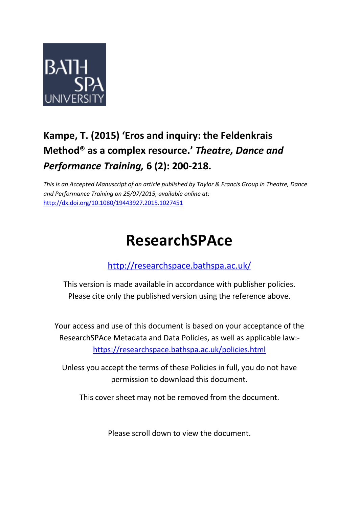

# **Kampe, T. (2015) 'Eros and inquiry: the Feldenkrais Method® as a complex resource.'** *Theatre, Dance and Performance Training,* **6 (2): 200-218.**

*This is an Accepted Manuscript of an article published by Taylor & Francis Group in Theatre, Dance and Performance Training on 25/07/2015, available online at:*  <http://dx.doi.org/10.1080/19443927.2015.1027451>

# **ResearchSPAce**

<http://researchspace.bathspa.ac.uk/>

This version is made available in accordance with publisher policies. Please cite only the published version using the reference above.

Your access and use of this document is based on your acceptance of the ResearchSPAce Metadata and Data Policies, as well as applicable law: https://researchspace.bathspa.ac.uk/policies.html

Unless you accept the terms of these Policies in full, you do not have permission to download this document.

This cover sheet may not be removed from the document.

Please scroll down to view the document.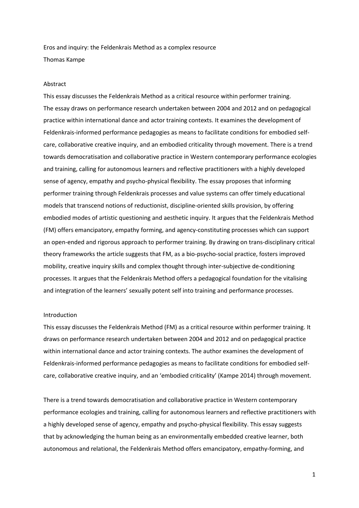Eros and inquiry: the Feldenkrais Method as a complex resource Thomas Kampe

#### Abstract

This essay discusses the Feldenkrais Method as a critical resource within performer training. The essay draws on performance research undertaken between 2004 and 2012 and on pedagogical practice within international dance and actor training contexts. It examines the development of Feldenkrais-informed performance pedagogies as means to facilitate conditions for embodied selfcare, collaborative creative inquiry, and an embodied criticality through movement. There is a trend towards democratisation and collaborative practice in Western contemporary performance ecologies and training, calling for autonomous learners and reflective practitioners with a highly developed sense of agency, empathy and psycho-physical flexibility. The essay proposes that informing performer training through Feldenkrais processes and value systems can offer timely educational models that transcend notions of reductionist, discipline-oriented skills provision, by offering embodied modes of artistic questioning and aesthetic inquiry. It argues that the Feldenkrais Method (FM) offers emancipatory, empathy forming, and agency-constituting processes which can support an open-ended and rigorous approach to performer training. By drawing on trans-disciplinary critical theory frameworks the article suggests that FM, as a bio-psycho-social practice, fosters improved mobility, creative inquiry skills and complex thought through inter-subjective de-conditioning processes. It argues that the Feldenkrais Method offers a pedagogical foundation for the vitalising and integration of the learners' sexually potent self into training and performance processes.

#### Introduction

This essay discusses the Feldenkrais Method (FM) as a critical resource within performer training. It draws on performance research undertaken between 2004 and 2012 and on pedagogical practice within international dance and actor training contexts. The author examines the development of Feldenkrais-informed performance pedagogies as means to facilitate conditions for embodied selfcare, collaborative creative inquiry, and an 'embodied criticality' (Kampe 2014) through movement.

There is a trend towards democratisation and collaborative practice in Western contemporary performance ecologies and training, calling for autonomous learners and reflective practitioners with a highly developed sense of agency, empathy and psycho-physical flexibility. This essay suggests that by acknowledging the human being as an environmentally embedded creative learner, both autonomous and relational, the Feldenkrais Method offers emancipatory, empathy-forming, and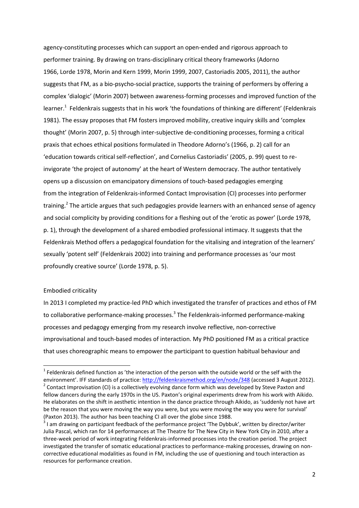agency-constituting processes which can support an open-ended and rigorous approach to performer training. By drawing on trans-disciplinary critical theory frameworks (Adorno 1966, Lorde 1978, Morin and Kern 1999, Morin 1999, 2007, Castoriadis 2005, 2011), the author suggests that FM, as a bio-psycho-social practice, supports the training of performers by offering a complex 'dialogic' (Morin 2007) between awareness-forming processes and improved function of the learner.<sup>1</sup> Feldenkrais suggests that in his work 'the foundations of thinking are different' (Feldenkrais 1981). The essay proposes that FM fosters improved mobility, creative inquiry skills and 'complex thought' (Morin 2007, p. 5) through inter-subjective de-conditioning processes, forming a critical praxis that echoes ethical positions formulated in Theodore Adorno's (1966, p. 2) call for an 'education towards critical self-reflection', and Cornelius Castoriadis' (2005, p. 99) quest to reinvigorate 'the project of autonomy' at the heart of Western democracy. The author tentatively opens up a discussion on emancipatory dimensions of touch-based pedagogies emerging from the integration of Feldenkrais-informed Contact Improvisation (CI) processes into performer training.<sup>2</sup> The article argues that such pedagogies provide learners with an enhanced sense of agency and social complicity by providing conditions for a fleshing out of the 'erotic as power' (Lorde 1978, p. 1), through the development of a shared embodied professional intimacy. It suggests that the Feldenkrais Method offers a pedagogical foundation for the vitalising and integration of the learners' sexually 'potent self' (Feldenkrais 2002) into training and performance processes as 'our most profoundly creative source' (Lorde 1978, p. 5).

# Embodied criticality

1

In 2013 I completed my practice-led PhD which investigated the transfer of practices and ethos of FM to collaborative performance-making processes.<sup>3</sup> The Feldenkrais-informed performance-making processes and pedagogy emerging from my research involve reflective, non-corrective improvisational and touch-based modes of interaction. My PhD positioned FM as a critical practice that uses choreographic means to empower the participant to question habitual behaviour and

 $1$  Feldenkrais defined function as 'the interaction of the person with the outside world or the self with the environment'. IFF standards of practice: <http://feldenkraismethod.org/en/node/348> (accessed 3 August 2012).  $2$  Contact Improvisation (CI) is a collectively evolving dance form which was developed by Steve Paxton and fellow dancers during the early 1970s in the US. Paxton's original experiments drew from his work with Aikido. He elaborates on the shift in aesthetic intention in the dance practice through Aikido, as 'suddenly not have art be the reason that you were moving the way you were, but you were moving the way you were for survival' (Paxton 2013). The author has been teaching CI all over the globe since 1988.<br><sup>3</sup> Lam drawing an nartisipant faedback of the narformance areject (The Dubb

I am drawing on participant feedback of the performance project 'The Dybbuk', written by director/writer Julia Pascal, which ran for 14 performances at The Theatre for The New City in New York City in 2010, after a three-week period of work integrating Feldenkrais-informed processes into the creation period. The project investigated the transfer of somatic educational practices to performance-making processes, drawing on noncorrective educational modalities as found in FM, including the use of questioning and touch interaction as resources for performance creation.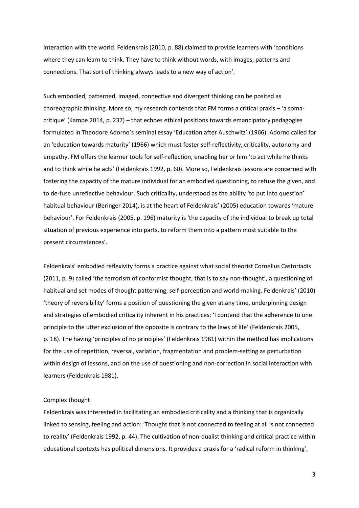interaction with the world. Feldenkrais (2010, p. 88) claimed to provide learners with 'conditions where they can learn to think. They have to think without words, with images, patterns and connections. That sort of thinking always leads to a new way of action'.

Such embodied, patterned, imaged, connective and divergent thinking can be posited as choreographic thinking. More so, my research contends that FM forms a critical praxis – 'a somacritique' (Kampe 2014, p. 237) – that echoes ethical positions towards emancipatory pedagogies formulated in Theodore Adorno's seminal essay 'Education after Auschwitz' (1966). Adorno called for an 'education towards maturity' (1966) which must foster self-reflectivity, criticality, autonomy and empathy. FM offers the learner tools for self-reflection, enabling her or him 'to act while he thinks and to think while he acts' (Feldenkrais 1992, p. 60). More so, Feldenkrais lessons are concerned with fostering the capacity of the mature individual for an embodied questioning, to refuse the given, and to de-fuse unreflective behaviour. Such criticality, understood as the ability 'to put into question' habitual behaviour (Beringer 2014), is at the heart of Feldenkrais' (2005) education towards 'mature behaviour'. For Feldenkrais (2005, p. 196) maturity is 'the capacity of the individual to break up total situation of previous experience into parts, to reform them into a pattern most suitable to the present circumstances'.

Feldenkrais' embodied reflexivity forms a practice against what social theorist Cornelius Castoriadis (2011, p. 9) called 'the terrorism of conformist thought, that is to say non-thought', a questioning of habitual and set modes of thought patterning, self-perception and world-making. Feldenkrais' (2010) 'theory of reversibility' forms a position of questioning the given at any time, underpinning design and strategies of embodied criticality inherent in his practices: 'I contend that the adherence to one principle to the utter exclusion of the opposite is contrary to the laws of life' (Feldenkrais 2005, p. 18). The having 'principles of no principles' (Feldenkrais 1981) within the method has implications for the use of repetition, reversal, variation, fragmentation and problem-setting as perturbation within design of lessons, and on the use of questioning and non-correction in social interaction with learners (Feldenkrais 1981).

#### Complex thought

Feldenkrais was interested in facilitating an embodied criticality and a thinking that is organically linked to sensing, feeling and action: 'Thought that is not connected to feeling at all is not connected to reality' (Feldenkrais 1992, p. 44). The cultivation of non-dualist thinking and critical practice within educational contexts has political dimensions. It provides a praxis for a 'radical reform in thinking',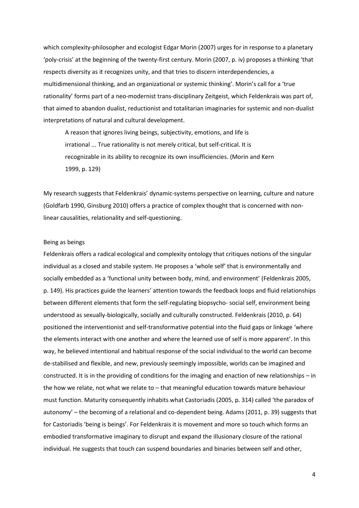which complexity-philosopher and ecologist Edgar Morin (2007) urges for in response to a planetary 'poly-crisis' at the beginning of the twenty-first century. Morin (2007, p. iv) proposes a thinking 'that respects diversity as it recognizes unity, and that tries to discern interdependencies, a multidimensional thinking, and an organizational or systemic thinking'. Morin's call for a 'true rationality' forms part of a neo-modernist trans-disciplinary Zeitgeist, which Feldenkrais was part of, that aimed to abandon dualist, reductionist and totalitarian imaginaries for systemic and non-dualist interpretations of natural and cultural development.

A reason that ignores living beings, subjectivity, emotions, and life is irrational ... True rationality is not merely critical, but self-critical. It is recognizable in its ability to recognize its own insufficiencies. (Morin and Kern 1999, p. 129)

My research suggests that Feldenkrais' dynamic-systems perspective on learning, culture and nature (Goldfarb 1990, Ginsburg 2010) offers a practice of complex thought that is concerned with nonlinear causalities, relationality and self-questioning.

### Being as beings

Feldenkrais offers a radical ecological and complexity ontology that critiques notions of the singular individual as a closed and stabile system. He proposes a 'whole self' that is environmentally and socially embedded as a 'functional unity between body, mind, and environment' (Feldenkrais 2005, p. 149). His practices guide the learners' attention towards the feedback loops and fluid relationships between different elements that form the self-regulating biopsycho- social self, environment being understood as sexually-biologically, socially and culturally constructed. Feldenkrais (2010, p. 64) positioned the interventionist and self-transformative potential into the fluid gaps or linkage 'where the elements interact with one another and where the learned use of self is more apparent'. In this way, he believed intentional and habitual response of the social individual to the world can become de-stabilised and flexible, and new, previously seemingly impossible, worlds can be imagined and constructed. It is in the providing of conditions for the imaging and enaction of new relationships – in the how we relate, not what we relate to – that meaningful education towards mature behaviour must function. Maturity consequently inhabits what Castoriadis (2005, p. 314) called 'the paradox of autonomy' – the becoming of a relational and co-dependent being. Adams (2011, p. 39) suggests that for Castoriadis 'being is beings'. For Feldenkrais it is movement and more so touch which forms an embodied transformative imaginary to disrupt and expand the illusionary closure of the rational individual. He suggests that touch can suspend boundaries and binaries between self and other,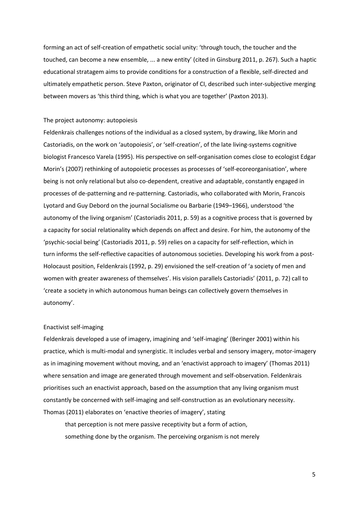forming an act of self-creation of empathetic social unity: 'through touch, the toucher and the touched, can become a new ensemble, ... a new entity' (cited in Ginsburg 2011, p. 267). Such a haptic educational stratagem aims to provide conditions for a construction of a flexible, self-directed and ultimately empathetic person. Steve Paxton, originator of CI, described such inter-subjective merging between movers as 'this third thing, which is what you are together' (Paxton 2013).

#### The project autonomy: autopoiesis

Feldenkrais challenges notions of the individual as a closed system, by drawing, like Morin and Castoriadis, on the work on 'autopoiesis', or 'self-creation', of the late living-systems cognitive biologist Francesco Varela (1995). His perspective on self-organisation comes close to ecologist Edgar Morin's (2007) rethinking of autopoietic processes as processes of 'self-ecoreorganisation', where being is not only relational but also co-dependent, creative and adaptable, constantly engaged in processes of de-patterning and re-patterning. Castoriadis, who collaborated with Morin, Francois Lyotard and Guy Debord on the journal Socialisme ou Barbarie (1949–1966), understood 'the autonomy of the living organism' (Castoriadis 2011, p. 59) as a cognitive process that is governed by a capacity for social relationality which depends on affect and desire. For him, the autonomy of the 'psychic-social being' (Castoriadis 2011, p. 59) relies on a capacity for self-reflection, which in turn informs the self-reflective capacities of autonomous societies. Developing his work from a post-Holocaust position, Feldenkrais (1992, p. 29) envisioned the self-creation of 'a society of men and women with greater awareness of themselves'. His vision parallels Castoriadis' (2011, p. 72) call to 'create a society in which autonomous human beings can collectively govern themselves in autonomy'.

## Enactivist self-imaging

Feldenkrais developed a use of imagery, imagining and 'self-imaging' (Beringer 2001) within his practice, which is multi-modal and synergistic. It includes verbal and sensory imagery, motor-imagery as in imagining movement without moving, and an 'enactivist approach to imagery' (Thomas 2011) where sensation and image are generated through movement and self-observation. Feldenkrais prioritises such an enactivist approach, based on the assumption that any living organism must constantly be concerned with self-imaging and self-construction as an evolutionary necessity. Thomas (2011) elaborates on 'enactive theories of imagery', stating

that perception is not mere passive receptivity but a form of action, something done by the organism. The perceiving organism is not merely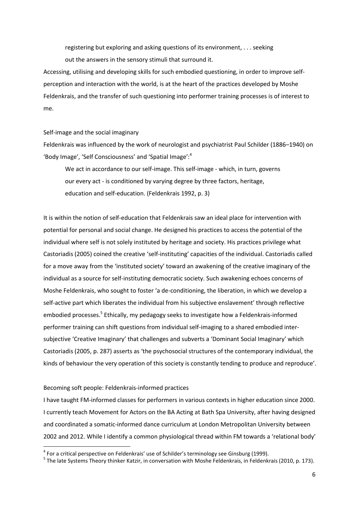registering but exploring and asking questions of its environment, . . . seeking out the answers in the sensory stimuli that surround it.

Accessing, utilising and developing skills for such embodied questioning, in order to improve selfperception and interaction with the world, is at the heart of the practices developed by Moshe Feldenkrais, and the transfer of such questioning into performer training processes is of interest to me.

## Self-image and the social imaginary

Feldenkrais was influenced by the work of neurologist and psychiatrist Paul Schilder (1886–1940) on 'Body Image', 'Self Consciousness' and 'Spatial Image':<sup>4</sup>

We act in accordance to our self-image. This self-image - which, in turn, governs our every act - is conditioned by varying degree by three factors, heritage, education and self-education. (Feldenkrais 1992, p. 3)

It is within the notion of self-education that Feldenkrais saw an ideal place for intervention with potential for personal and social change. He designed his practices to access the potential of the individual where self is not solely instituted by heritage and society. His practices privilege what Castoriadis (2005) coined the creative 'self-instituting' capacities of the individual. Castoriadis called for a move away from the 'instituted society' toward an awakening of the creative imaginary of the individual as a source for self-instituting democratic society. Such awakening echoes concerns of Moshe Feldenkrais, who sought to foster 'a de-conditioning, the liberation, in which we develop a self-active part which liberates the individual from his subjective enslavement' through reflective embodied processes.<sup>5</sup> Ethically, my pedagogy seeks to investigate how a Feldenkrais-informed performer training can shift questions from individual self-imaging to a shared embodied intersubjective 'Creative Imaginary' that challenges and subverts a 'Dominant Social Imaginary' which Castoriadis (2005, p. 287) asserts as 'the psychosocial structures of the contemporary individual, the kinds of behaviour the very operation of this society is constantly tending to produce and reproduce'.

#### Becoming soft people: Feldenkrais-informed practices

**.** 

I have taught FM-informed classes for performers in various contexts in higher education since 2000. I currently teach Movement for Actors on the BA Acting at Bath Spa University, after having designed and coordinated a somatic-informed dance curriculum at London Metropolitan University between 2002 and 2012. While I identify a common physiological thread within FM towards a 'relational body'

<sup>&</sup>lt;sup>4</sup> For a critical perspective on Feldenkrais' use of Schilder's terminology see Ginsburg (1999).

<sup>&</sup>lt;sup>5</sup> The late Systems Theory thinker Katzir, in conversation with Moshe Feldenkrais, in Feldenkrais (2010, p. 173).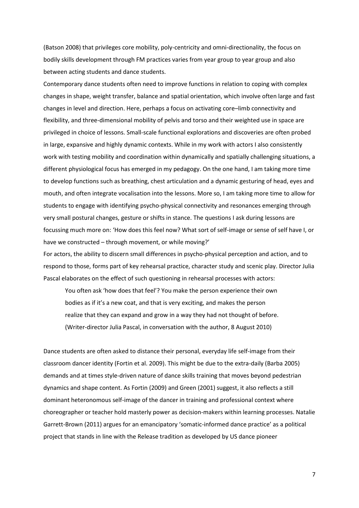(Batson 2008) that privileges core mobility, poly-centricity and omni-directionality, the focus on bodily skills development through FM practices varies from year group to year group and also between acting students and dance students.

Contemporary dance students often need to improve functions in relation to coping with complex changes in shape, weight transfer, balance and spatial orientation, which involve often large and fast changes in level and direction. Here, perhaps a focus on activating core–limb connectivity and flexibility, and three-dimensional mobility of pelvis and torso and their weighted use in space are privileged in choice of lessons. Small-scale functional explorations and discoveries are often probed in large, expansive and highly dynamic contexts. While in my work with actors I also consistently work with testing mobility and coordination within dynamically and spatially challenging situations, a different physiological focus has emerged in my pedagogy. On the one hand, I am taking more time to develop functions such as breathing, chest articulation and a dynamic gesturing of head, eyes and mouth, and often integrate vocalisation into the lessons. More so, I am taking more time to allow for students to engage with identifying psycho-physical connectivity and resonances emerging through very small postural changes, gesture or shifts in stance. The questions I ask during lessons are focussing much more on: 'How does this feel now? What sort of self-image or sense of self have I, or have we constructed – through movement, or while moving?'

For actors, the ability to discern small differences in psycho-physical perception and action, and to respond to those, forms part of key rehearsal practice, character study and scenic play. Director Julia Pascal elaborates on the effect of such questioning in rehearsal processes with actors:

You often ask 'how does that feel'? You make the person experience their own bodies as if it's a new coat, and that is very exciting, and makes the person realize that they can expand and grow in a way they had not thought of before. (Writer-director Julia Pascal, in conversation with the author, 8 August 2010)

Dance students are often asked to distance their personal, everyday life self-image from their classroom dancer identity (Fortin et al. 2009). This might be due to the extra-daily (Barba 2005) demands and at times style-driven nature of dance skills training that moves beyond pedestrian dynamics and shape content. As Fortin (2009) and Green (2001) suggest, it also reflects a still dominant heteronomous self-image of the dancer in training and professional context where choreographer or teacher hold masterly power as decision-makers within learning processes. Natalie Garrett-Brown (2011) argues for an emancipatory 'somatic-informed dance practice' as a political project that stands in line with the Release tradition as developed by US dance pioneer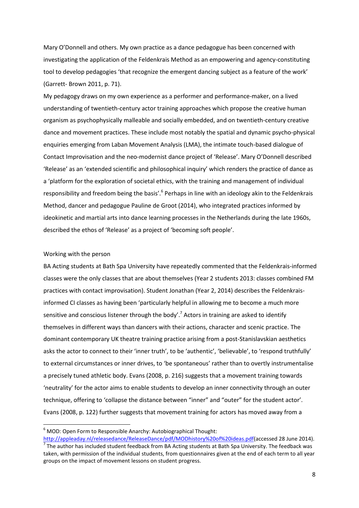Mary O'Donnell and others. My own practice as a dance pedagogue has been concerned with investigating the application of the Feldenkrais Method as an empowering and agency-constituting tool to develop pedagogies 'that recognize the emergent dancing subject as a feature of the work' (Garrett- Brown 2011, p. 71).

My pedagogy draws on my own experience as a performer and performance-maker, on a lived understanding of twentieth-century actor training approaches which propose the creative human organism as psychophysically malleable and socially embedded, and on twentieth-century creative dance and movement practices. These include most notably the spatial and dynamic psycho-physical enquiries emerging from Laban Movement Analysis (LMA), the intimate touch-based dialogue of Contact Improvisation and the neo-modernist dance project of 'Release'. Mary O'Donnell described 'Release' as an 'extended scientific and philosophical inquiry' which renders the practice of dance as a 'platform for the exploration of societal ethics, with the training and management of individual responsibility and freedom being the basis'.<sup>6</sup> Perhaps in line with an ideology akin to the Feldenkrais Method, dancer and pedagogue Pauline de Groot (2014), who integrated practices informed by ideokinetic and martial arts into dance learning processes in the Netherlands during the late 1960s, described the ethos of 'Release' as a project of 'becoming soft people'.

# Working with the person

 $\overline{a}$ 

BA Acting students at Bath Spa University have repeatedly commented that the Feldenkrais-informed classes were the only classes that are about themselves (Year 2 students 2013: classes combined FM practices with contact improvisation). Student Jonathan (Year 2, 2014) describes the Feldenkraisinformed CI classes as having been 'particularly helpful in allowing me to become a much more sensitive and conscious listener through the body'.<sup>7</sup> Actors in training are asked to identify themselves in different ways than dancers with their actions, character and scenic practice. The dominant contemporary UK theatre training practice arising from a post-Stanislavskian aesthetics asks the actor to connect to their 'inner truth', to be 'authentic', 'believable', to 'respond truthfully' to external circumstances or inner drives, to 'be spontaneous' rather than to overtly instrumentalise a precisely tuned athletic body. Evans (2008, p. 216) suggests that a movement training towards 'neutrality' for the actor aims to enable students to develop an inner connectivity through an outer technique, offering to 'collapse the distance between "inner" and "outer" for the student actor'. Evans (2008, p. 122) further suggests that movement training for actors has moved away from a

[http://appleaday.nl/releasedance/ReleaseDance/pdf/MODhistory%20of%20ideas.pdf\(](http://appleaday.nl/releasedance/ReleaseDance/pdf/MODhistory%20of%20ideas.pdf)accessed 28 June 2014).  $^7$  The author has included student feedback from BA Acting students at Bath Spa University. The feedback was taken, with permission of the individual students, from questionnaires given at the end of each term to all year groups on the impact of movement lessons on student progress.

 $6$  MOD: Open Form to Responsible Anarchy: Autobiographical Thought: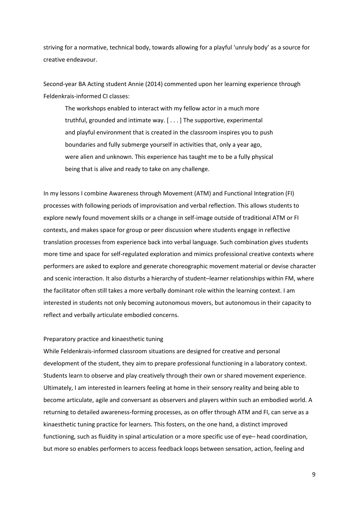striving for a normative, technical body, towards allowing for a playful 'unruly body' as a source for creative endeavour.

Second-year BA Acting student Annie (2014) commented upon her learning experience through Feldenkrais-informed CI classes:

The workshops enabled to interact with my fellow actor in a much more truthful, grounded and intimate way. [ . . . ] The supportive, experimental and playful environment that is created in the classroom inspires you to push boundaries and fully submerge yourself in activities that, only a year ago, were alien and unknown. This experience has taught me to be a fully physical being that is alive and ready to take on any challenge.

In my lessons I combine Awareness through Movement (ATM) and Functional Integration (FI) processes with following periods of improvisation and verbal reflection. This allows students to explore newly found movement skills or a change in self-image outside of traditional ATM or FI contexts, and makes space for group or peer discussion where students engage in reflective translation processes from experience back into verbal language. Such combination gives students more time and space for self-regulated exploration and mimics professional creative contexts where performers are asked to explore and generate choreographic movement material or devise character and scenic interaction. It also disturbs a hierarchy of student–learner relationships within FM, where the facilitator often still takes a more verbally dominant role within the learning context. I am interested in students not only becoming autonomous movers, but autonomous in their capacity to reflect and verbally articulate embodied concerns.

# Preparatory practice and kinaesthetic tuning

While Feldenkrais-informed classroom situations are designed for creative and personal development of the student, they aim to prepare professional functioning in a laboratory context. Students learn to observe and play creatively through their own or shared movement experience. Ultimately, I am interested in learners feeling at home in their sensory reality and being able to become articulate, agile and conversant as observers and players within such an embodied world. A returning to detailed awareness-forming processes, as on offer through ATM and FI, can serve as a kinaesthetic tuning practice for learners. This fosters, on the one hand, a distinct improved functioning, such as fluidity in spinal articulation or a more specific use of eye– head coordination, but more so enables performers to access feedback loops between sensation, action, feeling and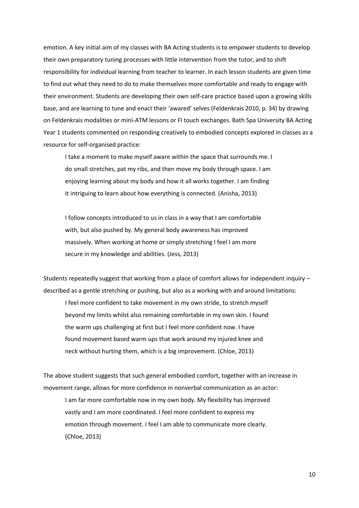emotion. A key initial aim of my classes with BA Acting students is to empower students to develop their own preparatory tuning processes with little intervention from the tutor, and to shift responsibility for individual learning from teacher to learner. In each lesson students are given time to find out what they need to do to make themselves more comfortable and ready to engage with their environment. Students are developing their own self-care practice based upon a growing skills base, and are learning to tune and enact their 'awared' selves (Feldenkrais 2010, p. 34) by drawing on Feldenkrais modalities or mini-ATM lessons or FI touch exchanges. Bath Spa University BA Acting Year 1 students commented on responding creatively to embodied concepts explored in classes as a resource for self-organised practice:

I take a moment to make myself aware within the space that surrounds me. I do small stretches, pat my ribs, and then move my body through space. I am enjoying learning about my body and how it all works together. I am finding it intriguing to learn about how everything is connected. (Anisha, 2013)

I follow concepts introduced to us in class in a way that I am comfortable with, but also pushed by. My general body awareness has improved massively. When working at home or simply stretching I feel I am more secure in my knowledge and abilities. (Jess, 2013)

Students repeatedly suggest that working from a place of comfort allows for independent inquiry – described as a gentle stretching or pushing, but also as a working with and around limitations:

I feel more confident to take movement in my own stride, to stretch myself beyond my limits whilst also remaining comfortable in my own skin. I found the warm ups challenging at first but I feel more confident now. I have found movement based warm ups that work around my injured knee and neck without hurting them, which is a big improvement. (Chloe, 2013)

The above student suggests that such general embodied comfort, together with an increase in movement range, allows for more confidence in nonverbal communication as an actor:

I am far more comfortable now in my own body. My flexibility has improved vastly and I am more coordinated. I feel more confident to express my emotion through movement. I feel I am able to communicate more clearly. (Chloe, 2013)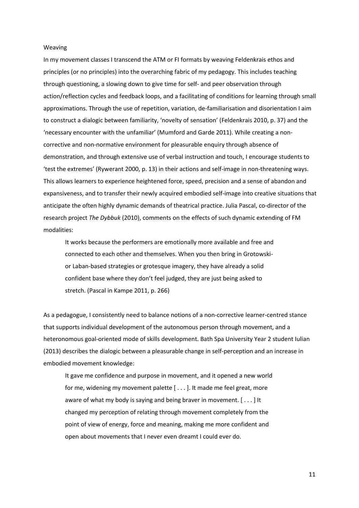#### Weaving

In my movement classes I transcend the ATM or FI formats by weaving Feldenkrais ethos and principles (or no principles) into the overarching fabric of my pedagogy. This includes teaching through questioning, a slowing down to give time for self- and peer observation through action/reflection cycles and feedback loops, and a facilitating of conditions for learning through small approximations. Through the use of repetition, variation, de-familiarisation and disorientation I aim to construct a dialogic between familiarity, 'novelty of sensation' (Feldenkrais 2010, p. 37) and the 'necessary encounter with the unfamiliar' (Mumford and Garde 2011). While creating a noncorrective and non-normative environment for pleasurable enquiry through absence of demonstration, and through extensive use of verbal instruction and touch, I encourage students to 'test the extremes' (Rywerant 2000, p. 13) in their actions and self-image in non-threatening ways. This allows learners to experience heightened force, speed, precision and a sense of abandon and expansiveness, and to transfer their newly acquired embodied self-image into creative situations that anticipate the often highly dynamic demands of theatrical practice. Julia Pascal, co-director of the research project *The Dybbuk* (2010), comments on the effects of such dynamic extending of FM modalities:

It works because the performers are emotionally more available and free and connected to each other and themselves. When you then bring in Grotowskior Laban-based strategies or grotesque imagery, they have already a solid confident base where they don't feel judged, they are just being asked to stretch. (Pascal in Kampe 2011, p. 266)

As a pedagogue, I consistently need to balance notions of a non-corrective learner-centred stance that supports individual development of the autonomous person through movement, and a heteronomous goal-oriented mode of skills development. Bath Spa University Year 2 student Iulian (2013) describes the dialogic between a pleasurable change in self-perception and an increase in embodied movement knowledge:

It gave me confidence and purpose in movement, and it opened a new world for me, widening my movement palette [ . . . ]. It made me feel great, more aware of what my body is saying and being braver in movement. [ . . . ] It changed my perception of relating through movement completely from the point of view of energy, force and meaning, making me more confident and open about movements that I never even dreamt I could ever do.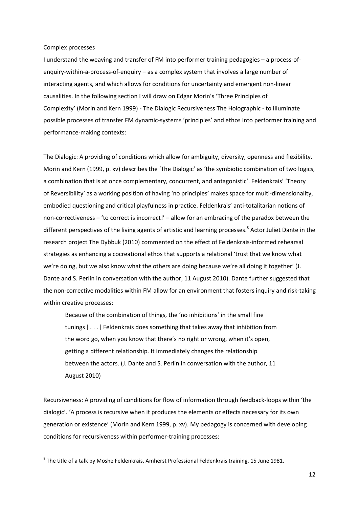#### Complex processes

**.** 

I understand the weaving and transfer of FM into performer training pedagogies – a process-ofenquiry-within-a-process-of-enquiry – as a complex system that involves a large number of interacting agents, and which allows for conditions for uncertainty and emergent non-linear causalities. In the following section I will draw on Edgar Morin's 'Three Principles of Complexity' (Morin and Kern 1999) - The Dialogic Recursiveness The Holographic - to illuminate possible processes of transfer FM dynamic-systems 'principles' and ethos into performer training and performance-making contexts:

The Dialogic: A providing of conditions which allow for ambiguity, diversity, openness and flexibility. Morin and Kern (1999, p. xv) describes the 'The Dialogic' as 'the symbiotic combination of two logics, a combination that is at once complementary, concurrent, and antagonistic'. Feldenkrais' 'Theory of Reversibility' as a working position of having 'no principles' makes space for multi-dimensionality, embodied questioning and critical playfulness in practice. Feldenkrais' anti-totalitarian notions of non-correctiveness – 'to correct is incorrect!' – allow for an embracing of the paradox between the different perspectives of the living agents of artistic and learning processes.<sup>8</sup> Actor Juliet Dante in the research project The Dybbuk (2010) commented on the effect of Feldenkrais-informed rehearsal strategies as enhancing a cocreational ethos that supports a relational 'trust that we know what we're doing, but we also know what the others are doing because we're all doing it together' (J. Dante and S. Perlin in conversation with the author, 11 August 2010). Dante further suggested that the non-corrective modalities within FM allow for an environment that fosters inquiry and risk-taking within creative processes:

Because of the combination of things, the 'no inhibitions' in the small fine tunings [ . . . ] Feldenkrais does something that takes away that inhibition from the word go, when you know that there's no right or wrong, when it's open, getting a different relationship. It immediately changes the relationship between the actors. (J. Dante and S. Perlin in conversation with the author, 11 August 2010)

Recursiveness: A providing of conditions for flow of information through feedback-loops within 'the dialogic'. 'A process is recursive when it produces the elements or effects necessary for its own generation or existence' (Morin and Kern 1999, p. xv). My pedagogy is concerned with developing conditions for recursiveness within performer-training processes:

 ${}^{8}$  The title of a talk by Moshe Feldenkrais, Amherst Professional Feldenkrais training, 15 June 1981.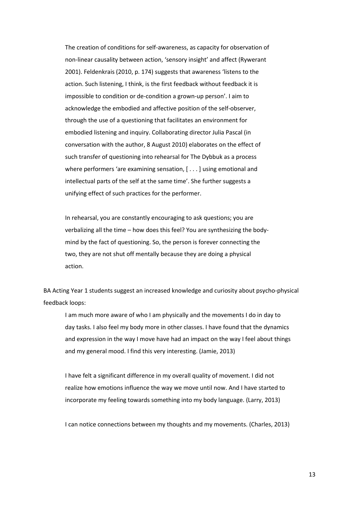The creation of conditions for self-awareness, as capacity for observation of non-linear causality between action, 'sensory insight' and affect (Rywerant 2001). Feldenkrais (2010, p. 174) suggests that awareness 'listens to the action. Such listening, I think, is the first feedback without feedback it is impossible to condition or de-condition a grown-up person'. I aim to acknowledge the embodied and affective position of the self-observer, through the use of a questioning that facilitates an environment for embodied listening and inquiry. Collaborating director Julia Pascal (in conversation with the author, 8 August 2010) elaborates on the effect of such transfer of questioning into rehearsal for The Dybbuk as a process where performers 'are examining sensation, [...] using emotional and intellectual parts of the self at the same time'. She further suggests a unifying effect of such practices for the performer.

In rehearsal, you are constantly encouraging to ask questions; you are verbalizing all the time – how does this feel? You are synthesizing the bodymind by the fact of questioning. So, the person is forever connecting the two, they are not shut off mentally because they are doing a physical action.

BA Acting Year 1 students suggest an increased knowledge and curiosity about psycho-physical feedback loops:

I am much more aware of who I am physically and the movements I do in day to day tasks. I also feel my body more in other classes. I have found that the dynamics and expression in the way I move have had an impact on the way I feel about things and my general mood. I find this very interesting. (Jamie, 2013)

I have felt a significant difference in my overall quality of movement. I did not realize how emotions influence the way we move until now. And I have started to incorporate my feeling towards something into my body language. (Larry, 2013)

I can notice connections between my thoughts and my movements. (Charles, 2013)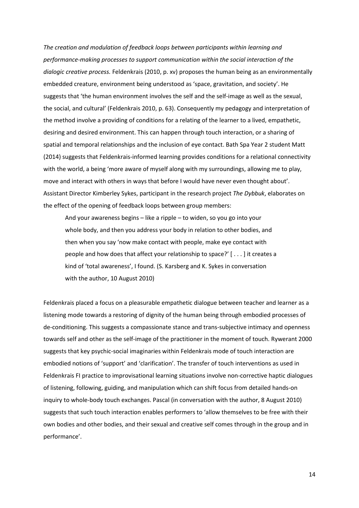*The creation and modulation of feedback loops between participants within learning and performance-making processes to support communication within the social interaction of the dialogic creative process.* Feldenkrais (2010, p. xv) proposes the human being as an environmentally embedded creature, environment being understood as 'space, gravitation, and society'. He suggests that 'the human environment involves the self and the self-image as well as the sexual, the social, and cultural' (Feldenkrais 2010, p. 63). Consequently my pedagogy and interpretation of the method involve a providing of conditions for a relating of the learner to a lived, empathetic, desiring and desired environment. This can happen through touch interaction, or a sharing of spatial and temporal relationships and the inclusion of eye contact. Bath Spa Year 2 student Matt (2014) suggests that Feldenkrais-informed learning provides conditions for a relational connectivity with the world, a being 'more aware of myself along with my surroundings, allowing me to play, move and interact with others in ways that before I would have never even thought about'. Assistant Director Kimberley Sykes, participant in the research project *The Dybbuk*, elaborates on the effect of the opening of feedback loops between group members:

And your awareness begins – like a ripple – to widen, so you go into your whole body, and then you address your body in relation to other bodies, and then when you say 'now make contact with people, make eye contact with people and how does that affect your relationship to space?' [ . . . ] it creates a kind of 'total awareness', I found. (S. Karsberg and K. Sykes in conversation with the author, 10 August 2010)

Feldenkrais placed a focus on a pleasurable empathetic dialogue between teacher and learner as a listening mode towards a restoring of dignity of the human being through embodied processes of de-conditioning. This suggests a compassionate stance and trans-subjective intimacy and openness towards self and other as the self-image of the practitioner in the moment of touch. Rywerant 2000 suggests that key psychic-social imaginaries within Feldenkrais mode of touch interaction are embodied notions of 'support' and 'clarification'. The transfer of touch interventions as used in Feldenkrais FI practice to improvisational learning situations involve non-corrective haptic dialogues of listening, following, guiding, and manipulation which can shift focus from detailed hands-on inquiry to whole-body touch exchanges. Pascal (in conversation with the author, 8 August 2010) suggests that such touch interaction enables performers to 'allow themselves to be free with their own bodies and other bodies, and their sexual and creative self comes through in the group and in performance'.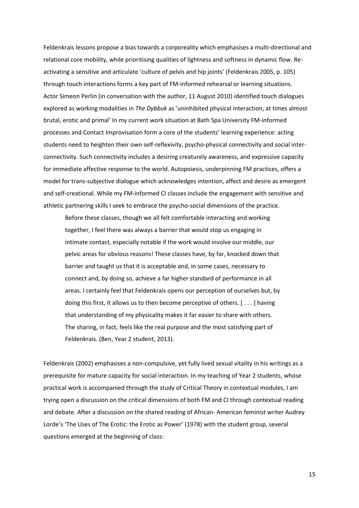Feldenkrais lessons propose a bias towards a corporeality which emphasises a multi-directional and relational core mobility, while prioritising qualities of lightness and softness in dynamic flow. Reactivating a sensitive and articulate 'culture of pelvis and hip joints' (Feldenkrais 2005, p. 105) through touch interactions forms a key part of FM-informed rehearsal or learning situations. Actor Simeon Perlin (in conversation with the author, 11 August 2010) identified touch dialogues explored as working modalities in *The Dybbuk* as 'uninhibited physical interaction, at times almost brutal, erotic and primal' In my current work situation at Bath Spa University FM-informed processes and Contact Improvisation form a core of the students' learning experience: acting students need to heighten their own self-reflexivity, psycho-physical connectivity and social interconnectivity. Such connectivity includes a desiring creaturely awareness, and expressive capacity for immediate affective response to the world. Autopoiesis, underpinning FM practices, offers a model for trans-subjective dialogue which acknowledges intention, affect and desire as emergent and self-creational. While my FM-informed CI classes include the engagement with sensitive and athletic partnering skills I seek to embrace the psycho-social dimensions of the practice.

Before these classes, though we all felt comfortable interacting and working together, I feel there was always a barrier that would stop us engaging in intimate contact, especially notable if the work would involve our middle, our pelvic areas for obvious reasons! These classes have, by far, knocked down that barrier and taught us that it is acceptable and, in some cases, necessary to connect and, by doing so, achieve a far higher standard of performance in all areas. I certainly feel that Feldenkrais opens our perception of ourselves but, by doing this first, it allows us to then become perceptive of others.  $[\ldots]$  having that understanding of my physicality makes it far easier to share with others. The sharing, in fact, feels like the real purpose and the most satisfying part of Feldenkrais. (Ben, Year 2 student, 2013).

Feldenkrais (2002) emphasises a non-compulsive, yet fully lived sexual vitality in his writings as a prerequisite for mature capacity for social interaction. In my teaching of Year 2 students, whose practical work is accompanied through the study of Critical Theory in contextual modules, I am trying open a discussion on the critical dimensions of both FM and CI through contextual reading and debate. After a discussion on the shared reading of African- American feminist writer Audrey Lorde's 'The Uses of The Erotic: the Erotic as Power' (1978) with the student group, several questions emerged at the beginning of class: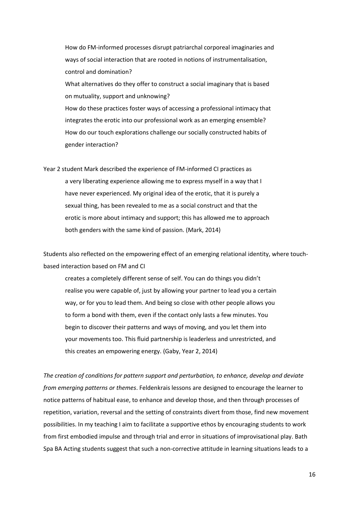How do FM-informed processes disrupt patriarchal corporeal imaginaries and ways of social interaction that are rooted in notions of instrumentalisation, control and domination?

What alternatives do they offer to construct a social imaginary that is based on mutuality, support and unknowing?

How do these practices foster ways of accessing a professional intimacy that integrates the erotic into our professional work as an emerging ensemble? How do our touch explorations challenge our socially constructed habits of gender interaction?

Year 2 student Mark described the experience of FM-informed CI practices as a very liberating experience allowing me to express myself in a way that I have never experienced. My original idea of the erotic, that it is purely a sexual thing, has been revealed to me as a social construct and that the erotic is more about intimacy and support; this has allowed me to approach both genders with the same kind of passion. (Mark, 2014)

Students also reflected on the empowering effect of an emerging relational identity, where touchbased interaction based on FM and CI

creates a completely different sense of self. You can do things you didn't realise you were capable of, just by allowing your partner to lead you a certain way, or for you to lead them. And being so close with other people allows you to form a bond with them, even if the contact only lasts a few minutes. You begin to discover their patterns and ways of moving, and you let them into your movements too. This fluid partnership is leaderless and unrestricted, and this creates an empowering energy. (Gaby, Year 2, 2014)

*The creation of conditions for pattern support and perturbation, to enhance, develop and deviate from emerging patterns or themes*. Feldenkrais lessons are designed to encourage the learner to notice patterns of habitual ease, to enhance and develop those, and then through processes of repetition, variation, reversal and the setting of constraints divert from those, find new movement possibilities. In my teaching I aim to facilitate a supportive ethos by encouraging students to work from first embodied impulse and through trial and error in situations of improvisational play. Bath Spa BA Acting students suggest that such a non-corrective attitude in learning situations leads to a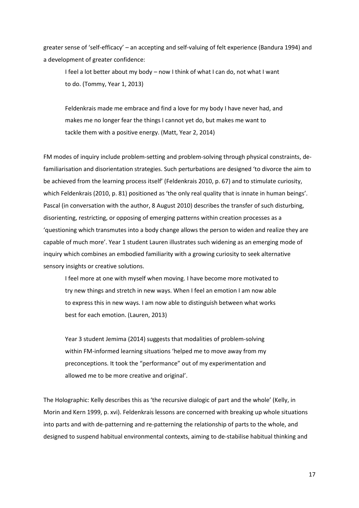greater sense of 'self-efficacy' – an accepting and self-valuing of felt experience (Bandura 1994) and a development of greater confidence:

I feel a lot better about my body – now I think of what I can do, not what I want to do. (Tommy, Year 1, 2013)

Feldenkrais made me embrace and find a love for my body I have never had, and makes me no longer fear the things I cannot yet do, but makes me want to tackle them with a positive energy. (Matt, Year 2, 2014)

FM modes of inquiry include problem-setting and problem-solving through physical constraints, defamiliarisation and disorientation strategies. Such perturbations are designed 'to divorce the aim to be achieved from the learning process itself' (Feldenkrais 2010, p. 67) and to stimulate curiosity, which Feldenkrais (2010, p. 81) positioned as 'the only real quality that is innate in human beings'. Pascal (in conversation with the author, 8 August 2010) describes the transfer of such disturbing, disorienting, restricting, or opposing of emerging patterns within creation processes as a 'questioning which transmutes into a body change allows the person to widen and realize they are capable of much more'. Year 1 student Lauren illustrates such widening as an emerging mode of inquiry which combines an embodied familiarity with a growing curiosity to seek alternative sensory insights or creative solutions.

I feel more at one with myself when moving. I have become more motivated to try new things and stretch in new ways. When I feel an emotion I am now able to express this in new ways. I am now able to distinguish between what works best for each emotion. (Lauren, 2013)

Year 3 student Jemima (2014) suggests that modalities of problem-solving within FM-informed learning situations 'helped me to move away from my preconceptions. It took the "performance" out of my experimentation and allowed me to be more creative and original'.

The Holographic: Kelly describes this as 'the recursive dialogic of part and the whole' (Kelly, in Morin and Kern 1999, p. xvi). Feldenkrais lessons are concerned with breaking up whole situations into parts and with de-patterning and re-patterning the relationship of parts to the whole, and designed to suspend habitual environmental contexts, aiming to de-stabilise habitual thinking and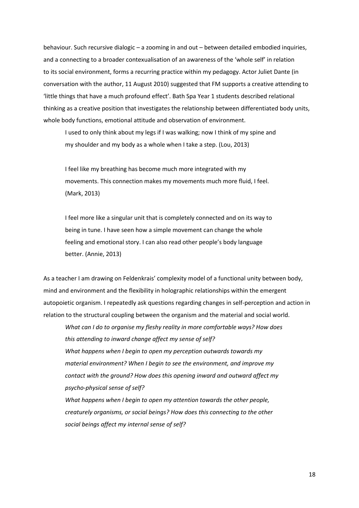behaviour. Such recursive dialogic – a zooming in and out – between detailed embodied inquiries, and a connecting to a broader contexualisation of an awareness of the 'whole self' in relation to its social environment, forms a recurring practice within my pedagogy. Actor Juliet Dante (in conversation with the author, 11 August 2010) suggested that FM supports a creative attending to 'little things that have a much profound effect'. Bath Spa Year 1 students described relational thinking as a creative position that investigates the relationship between differentiated body units, whole body functions, emotional attitude and observation of environment.

I used to only think about my legs if I was walking; now I think of my spine and my shoulder and my body as a whole when I take a step. (Lou, 2013)

I feel like my breathing has become much more integrated with my movements. This connection makes my movements much more fluid, I feel. (Mark, 2013)

I feel more like a singular unit that is completely connected and on its way to being in tune. I have seen how a simple movement can change the whole feeling and emotional story. I can also read other people's body language better. (Annie, 2013)

As a teacher I am drawing on Feldenkrais' complexity model of a functional unity between body, mind and environment and the flexibility in holographic relationships within the emergent autopoietic organism. I repeatedly ask questions regarding changes in self-perception and action in relation to the structural coupling between the organism and the material and social world.

*What can I do to organise my fleshy reality in more comfortable ways? How does this attending to inward change affect my sense of self? What happens when I begin to open my perception outwards towards my material environment? When I begin to see the environment, and improve my contact with the ground? How does this opening inward and outward affect my psycho-physical sense of self?*

*What happens when I begin to open my attention towards the other people, creaturely organisms, or social beings? How does this connecting to the other social beings affect my internal sense of self?*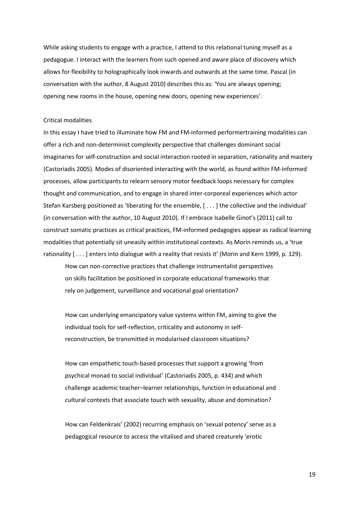While asking students to engage with a practice, I attend to this relational tuning myself as a pedagogue. I interact with the learners from such opened and aware place of discovery which allows for flexibility to holographically look inwards and outwards at the same time. Pascal (in conversation with the author, 8 August 2010) describes this as: 'You are always opening; opening new rooms in the house, opening new doors, opening new experiences'.

#### Critical modalities

In this essay I have tried to illuminate how FM and FM-informed performertraining modalities can offer a rich and non-determinist complexity perspective that challenges dominant social imaginaries for self-construction and social interaction rooted in separation, rationality and mastery (Castoriadis 2005). Modes of disoriented interacting with the world, as found within FM-informed processes, allow participants to relearn sensory motor feedback loops necessary for complex thought and communication, and to engage in shared inter-corporeal experiences which actor Stefan Karsberg positioned as 'liberating for the ensemble, [ . . . ] the collective and the individual' (in conversation with the author, 10 August 2010). If I embrace Isabelle Ginot's (2011) call to construct somatic practices as critical practices, FM-informed pedagogies appear as radical learning modalities that potentially sit uneasily within institutional contexts. As Morin reminds us, a 'true rationality [ . . . ] enters into dialogue with a reality that resists it' (Morin and Kern 1999, p. 129).

How can non-corrective practices that challenge instrumentalist perspectives on skills facilitation be positioned in corporate educational frameworks that rely on judgement, surveillance and vocational goal orientation?

How can underlying emancipatory value systems within FM, aiming to give the individual tools for self-reflection, criticality and autonomy in selfreconstruction, be transmitted in modularised classroom situations?

How can empathetic touch-based processes that support a growing 'from psychical monad to social individual' (Castoriadis 2005, p. 434) and which challenge academic teacher–learner relationships, function in educational and cultural contexts that associate touch with sexuality, abuse and domination?

How can Feldenkrais' (2002) recurring emphasis on 'sexual potency' serve as a pedagogical resource to access the vitalised and shared creaturely 'erotic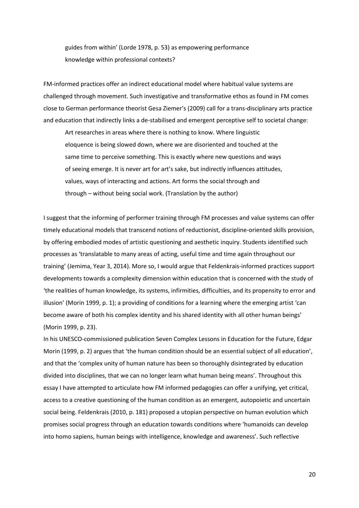guides from within' (Lorde 1978, p. 53) as empowering performance knowledge within professional contexts?

FM-informed practices offer an indirect educational model where habitual value systems are challenged through movement. Such investigative and transformative ethos as found in FM comes close to German performance theorist Gesa Ziemer's (2009) call for a trans-disciplinary arts practice and education that indirectly links a de-stabilised and emergent perceptive self to societal change:

Art researches in areas where there is nothing to know. Where linguistic eloquence is being slowed down, where we are disoriented and touched at the same time to perceive something. This is exactly where new questions and ways of seeing emerge. It is never art for art's sake, but indirectly influences attitudes, values, ways of interacting and actions. Art forms the social through and through – without being social work. (Translation by the author)

I suggest that the informing of performer training through FM processes and value systems can offer timely educational models that transcend notions of reductionist, discipline-oriented skills provision, by offering embodied modes of artistic questioning and aesthetic inquiry. Students identified such processes as 'translatable to many areas of acting, useful time and time again throughout our training' (Jemima, Year 3, 2014). More so, I would argue that Feldenkrais-informed practices support developments towards a complexity dimension within education that is concerned with the study of 'the realities of human knowledge, its systems, infirmities, difficulties, and its propensity to error and illusion' (Morin 1999, p. 1); a providing of conditions for a learning where the emerging artist 'can become aware of both his complex identity and his shared identity with all other human beings' (Morin 1999, p. 23).

In his UNESCO-commissioned publication Seven Complex Lessons in Education for the Future, Edgar Morin (1999, p. 2) argues that 'the human condition should be an essential subject of all education', and that the 'complex unity of human nature has been so thoroughly disintegrated by education divided into disciplines, that we can no longer learn what human being means'. Throughout this essay I have attempted to articulate how FM informed pedagogies can offer a unifying, yet critical, access to a creative questioning of the human condition as an emergent, autopoietic and uncertain social being. Feldenkrais (2010, p. 181) proposed a utopian perspective on human evolution which promises social progress through an education towards conditions where 'humanoids can develop into homo sapiens, human beings with intelligence, knowledge and awareness'. Such reflective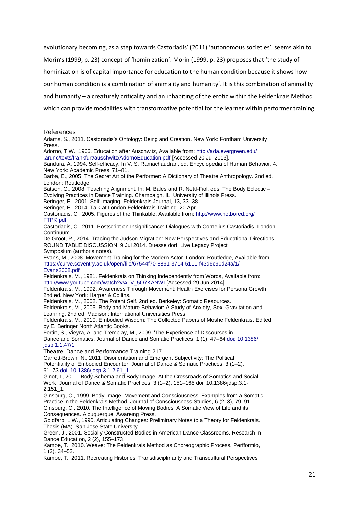evolutionary becoming, as a step towards Castoriadis' (2011) 'autonomous societies', seems akin to Morin's (1999, p. 23) concept of 'hominization'. Morin (1999, p. 23) proposes that 'the study of hominization is of capital importance for education to the human condition because it shows how our human condition is a combination of animality and humanity'. It is this combination of animality and humanity – a creaturely criticality and an inhabiting of the erotic within the Feldenkrais Method which can provide modalities with transformative potential for the learner within performer training.

#### References

Adams, S., 2011. Castoriadis's Ontology: Being and Creation. New York: Fordham University Press.

Adorno, T.W., 1966. Education after Auschwitz, Available from: http://ada.evergreen.edu/ ,arunc/texts/frankfurt/auschwitz/AdornoEducation.pdf [Accessed 20 Jul 2013].

Bandura, A. 1994. Self-efficacy. In V. S. Ramachaudran, ed. Encyclopedia of Human Behavior, 4. New York: Academic Press, 71–81.

Barba, E., 2005. The Secret Art of the Performer: A Dictionary of Theatre Anthropology. 2nd ed. London: Routledge.

Batson, G., 2008. Teaching Alignment. In: M. Bales and R. Nettl-Fiol, eds. The Body Eclectic –

Evolving Practices in Dance Training. Champaign, IL: University of Illinois Press.

Beringer, E., 2001. Self Imaging. Feldenkrais Journal, 13, 33–38.

Beringer, E., 2014. Talk at London Feldenkrais Training. 20 Apr.

Castoriadis, C., 2005. Figures of the Thinkable, Available from: http://www.notbored.org/ FTPK.pdf

Castoriadis, C., 2011. Postscript on Insignificance: Dialogues with Cornelius Castoriadis. London: Continuum.

De Groot, P., 2014. Tracing the Judson Migration: New Perspectives and Educational Directions. ROUND TABLE DISCUSSION, 9 Jul 2014. Duesseldorf: Live Legacy Project Symposium (author's notes).

Evans, M., 2008. Movement Training for the Modern Actor. London: Routledge, Available from: https://curve.coventry.ac.uk/open/file/67544f70-8861-3714-5111-f43d6c90d24a/1/ Evans2008.pdf

Feldenkrais, M., 1981. Feldenkrais on Thinking Independently from Words, Available from: http://www.youtube.com/watch?v¼1V\_5O7KANWI [Accessed 29 Jun 2014].

Feldenkrais, M., 1992. Awareness Through Movement: Health Exercises for Persona Growth. 2nd ed. New York: Harper & Collins.

Feldenkrais, M., 2002. The Potent Self. 2nd ed. Berkeley: Somatic Resources.

Feldenkrais, M., 2005. Body and Mature Behavior: A Study of Anxiety, Sex, Gravitation and Learning. 2nd ed. Madison: International Universities Press.

Feldenkrais, M., 2010. Embodied Wisdom: The Collected Papers of Moshe Feldenkrais. Edited by E. Beringer North Atlantic Books.

Fortin, S., Vieyra, A. and Tremblay, M., 2009. 'The Experience of Discourses in Dance and Somatics. Journal of Dance and Somatic Practices, 1 (1), 47–64 doi: 10.1386/ jdsp.1.1.47/1.

Theatre, Dance and Performance Training 217

Garrett-Brown, N., 2011. Disorientation and Emergent Subjectivity: The Political Potentiality of Embodied Encounter. Journal of Dance & Somatic Practices, 3 (1–2), 61–73 doi: 10.1386/jdsp.3.1-2.61\_1.

Ginot, I., 2011. Body Schema and Body Image: At the Crossroads of Somatics and Social Work. Journal of Dance & Somatic Practices, 3 (1–2), 151–165 doi: 10.1386/jdsp.3.1- 2.151\_1.

Ginsburg, C., 1999. Body-Image, Movement and Consciousness: Examples from a Somatic Practice in the Feldenkrais Method. Journal of Consciousness Studies, 6 (2–3), 79–91. Ginsburg, C., 2010. The Intelligence of Moving Bodies: A Somatic View of Life and its Consequences. Albuquerque: Awareing Press.

Goldfarb, L.W., 1990. Articulating Changes: Preliminary Notes to a Theory for Feldenkrais. Thesis (MA). San Jose State University.

Green, J., 2001. Socially Constructed Bodies in American Dance Classrooms. Research in Dance Education, 2 (2), 155–173.

Kampe, T., 2010. Weave: The Feldenkrais Method as Choreographic Process. Perfformio, 1 (2), 34–52.

Kampe, T., 2011. Recreating Histories: Transdisciplinarity and Transcultural Perspectives